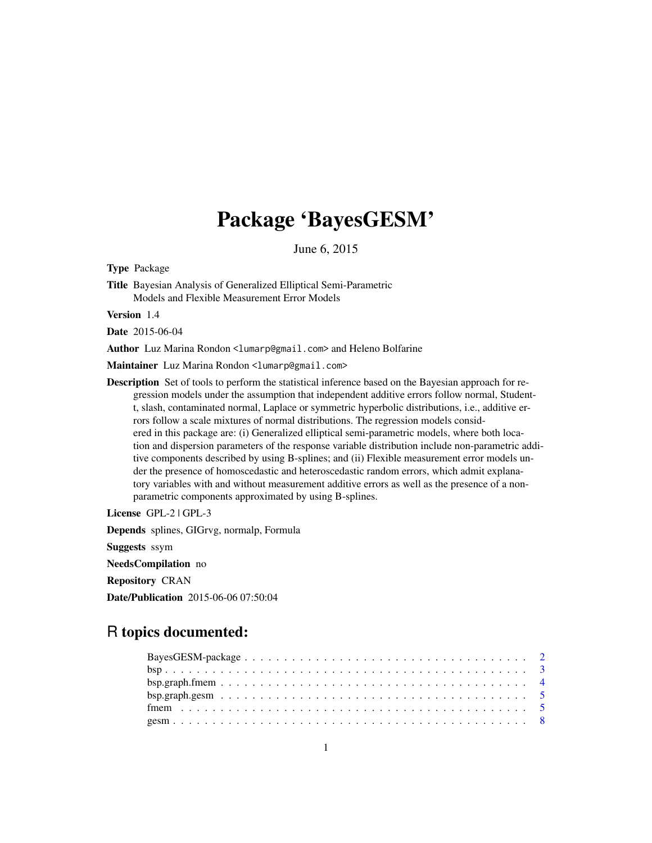## Package 'BayesGESM'

June 6, 2015

Type Package

Title Bayesian Analysis of Generalized Elliptical Semi-Parametric Models and Flexible Measurement Error Models

Version 1.4

Date 2015-06-04

Author Luz Marina Rondon <lumarp@gmail.com> and Heleno Bolfarine

Maintainer Luz Marina Rondon <lumarp@gmail.com>

Description Set of tools to perform the statistical inference based on the Bayesian approach for regression models under the assumption that independent additive errors follow normal, Studentt, slash, contaminated normal, Laplace or symmetric hyperbolic distributions, i.e., additive errors follow a scale mixtures of normal distributions. The regression models considered in this package are: (i) Generalized elliptical semi-parametric models, where both location and dispersion parameters of the response variable distribution include non-parametric additive components described by using B-splines; and (ii) Flexible measurement error models under the presence of homoscedastic and heteroscedastic random errors, which admit explanatory variables with and without measurement additive errors as well as the presence of a nonparametric components approximated by using B-splines.

License GPL-2 | GPL-3

Depends splines, GIGrvg, normalp, Formula

Suggests ssym

NeedsCompilation no

Repository CRAN

Date/Publication 2015-06-06 07:50:04

## R topics documented: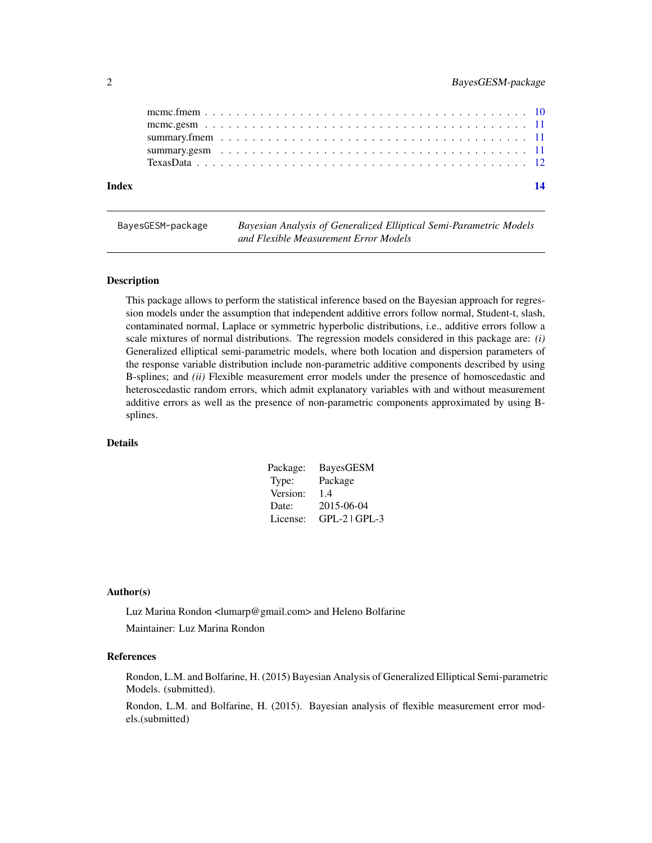<span id="page-1-0"></span>

| Index |  |  |  |  |  |  |  |  |  |  |  |  |  |  |  |  |  |  |  | $\overline{14}$ |
|-------|--|--|--|--|--|--|--|--|--|--|--|--|--|--|--|--|--|--|--|-----------------|
|       |  |  |  |  |  |  |  |  |  |  |  |  |  |  |  |  |  |  |  |                 |
|       |  |  |  |  |  |  |  |  |  |  |  |  |  |  |  |  |  |  |  |                 |
|       |  |  |  |  |  |  |  |  |  |  |  |  |  |  |  |  |  |  |  |                 |
|       |  |  |  |  |  |  |  |  |  |  |  |  |  |  |  |  |  |  |  |                 |
|       |  |  |  |  |  |  |  |  |  |  |  |  |  |  |  |  |  |  |  |                 |

BayesGESM-package *Bayesian Analysis of Generalized Elliptical Semi-Parametric Models and Flexible Measurement Error Models*

#### Description

This package allows to perform the statistical inference based on the Bayesian approach for regression models under the assumption that independent additive errors follow normal, Student-t, slash, contaminated normal, Laplace or symmetric hyperbolic distributions, i.e., additive errors follow a scale mixtures of normal distributions. The regression models considered in this package are: *(i)* Generalized elliptical semi-parametric models, where both location and dispersion parameters of the response variable distribution include non-parametric additive components described by using B-splines; and *(ii)* Flexible measurement error models under the presence of homoscedastic and heteroscedastic random errors, which admit explanatory variables with and without measurement additive errors as well as the presence of non-parametric components approximated by using Bsplines.

#### Details

| Package: | BayesGESM       |
|----------|-----------------|
| Type:    | Package         |
| Version: | 1.4             |
| Date:    | 2015-06-04      |
| License: | $GPL-2$ $GPL-3$ |

#### Author(s)

Luz Marina Rondon <lumarp@gmail.com> and Heleno Bolfarine Maintainer: Luz Marina Rondon

#### References

Rondon, L.M. and Bolfarine, H. (2015) Bayesian Analysis of Generalized Elliptical Semi-parametric Models. (submitted).

Rondon, L.M. and Bolfarine, H. (2015). Bayesian analysis of flexible measurement error models.(submitted)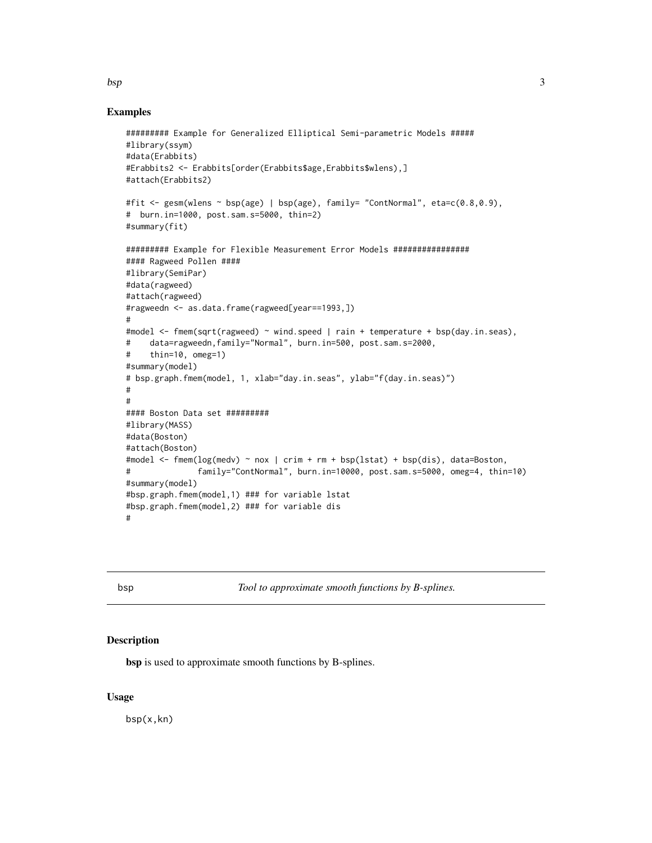#### Examples

```
######### Example for Generalized Elliptical Semi-parametric Models #####
#library(ssym)
#data(Erabbits)
#Erabbits2 <- Erabbits[order(Erabbits$age,Erabbits$wlens),]
#attach(Erabbits2)
#fit <- gesm(wlens ~ bsp(age) | bsp(age), family= "ContNormal", eta=c(0.8,0.9),
# burn.in=1000, post.sam.s=5000, thin=2)
#summary(fit)
######### Example for Flexible Measurement Error Models ################
#### Ragweed Pollen ####
#library(SemiPar)
#data(ragweed)
#attach(ragweed)
#ragweedn <- as.data.frame(ragweed[year==1993,])
#
#model <- fmem(sqrt(ragweed) ~ wind.speed | rain + temperature + bsp(day.in.seas),
# data=ragweedn,family="Normal", burn.in=500, post.sam.s=2000,
# thin=10, omeg=1)
#summary(model)
# bsp.graph.fmem(model, 1, xlab="day.in.seas", ylab="f(day.in.seas)")
#
#
#### Boston Data set #########
#library(MASS)
#data(Boston)
#attach(Boston)
#model <- fmem(log(medv) ~ nox | crim + rm + bsp(lstat) + bsp(dis), data=Boston,
# family="ContNormal", burn.in=10000, post.sam.s=5000, omeg=4, thin=10)
#summary(model)
#bsp.graph.fmem(model,1) ### for variable lstat
#bsp.graph.fmem(model,2) ### for variable dis
#
```
<span id="page-2-1"></span>bsp *Tool to approximate smooth functions by B-splines.*

#### Description

bsp is used to approximate smooth functions by B-splines.

#### Usage

bsp(x,kn)

<span id="page-2-0"></span> $bsp$  3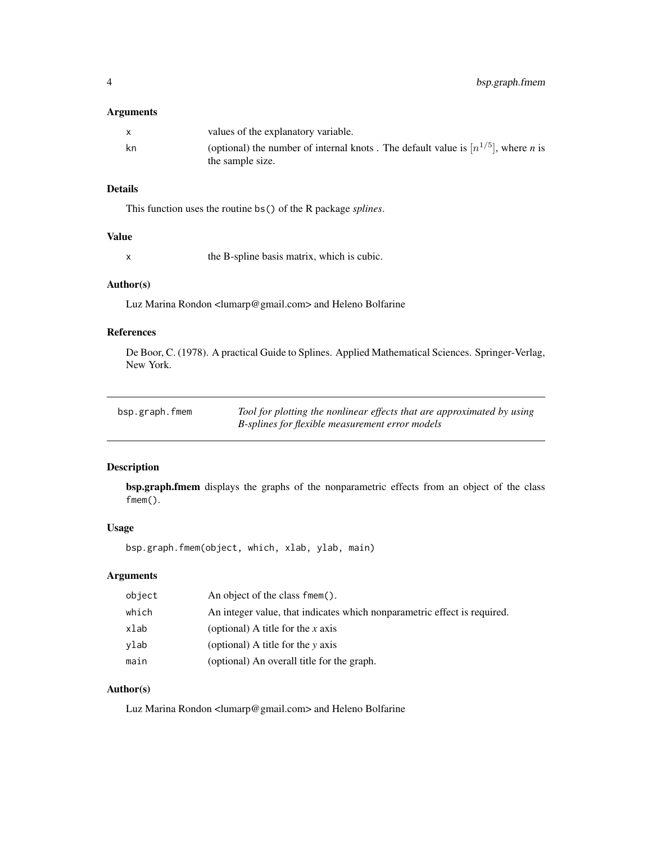#### <span id="page-3-0"></span>Arguments

|    | values of the explanatory variable.                                                                               |
|----|-------------------------------------------------------------------------------------------------------------------|
| kn | (optional) the number of internal knots. The default value is $[n^{1/5}]$ , where <i>n</i> is<br>the sample size. |

#### Details

This function uses the routine bs() of the R package *splines*.

#### Value

x the B-spline basis matrix, which is cubic.

#### Author(s)

Luz Marina Rondon <lumarp@gmail.com> and Heleno Bolfarine

#### References

De Boor, C. (1978). A practical Guide to Splines. Applied Mathematical Sciences. Springer-Verlag, New York.

<span id="page-3-1"></span>

| bsp.graph.fmem | Tool for plotting the nonlinear effects that are approximated by using |
|----------------|------------------------------------------------------------------------|
|                | B-splines for flexible measurement error models                        |

#### Description

bsp.graph.fmem displays the graphs of the nonparametric effects from an object of the class fmem().

#### Usage

bsp.graph.fmem(object, which, xlab, ylab, main)

#### Arguments

| object | An object of the class fmem().                                           |
|--------|--------------------------------------------------------------------------|
| which  | An integer value, that indicates which nonparametric effect is required. |
| xlab   | (optional) A title for the $x$ axis                                      |
| ylab   | (optional) A title for the $\nu$ axis                                    |
| main   | (optional) An overall title for the graph.                               |

#### Author(s)

Luz Marina Rondon <lumarp@gmail.com> and Heleno Bolfarine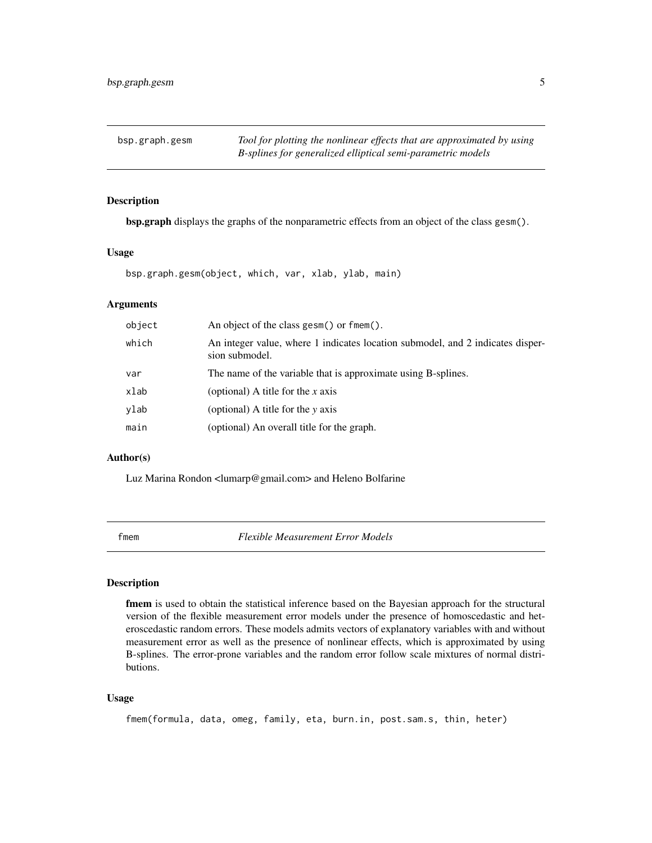<span id="page-4-0"></span>bsp.graph.gesm *Tool for plotting the nonlinear effects that are approximated by using B-splines for generalized elliptical semi-parametric models*

#### Description

bsp.graph displays the graphs of the nonparametric effects from an object of the class gesm().

#### Usage

bsp.graph.gesm(object, which, var, xlab, ylab, main)

#### Arguments

| object | An object of the class gesm() or fmem().                                                         |
|--------|--------------------------------------------------------------------------------------------------|
| which  | An integer value, where 1 indicates location submodel, and 2 indicates disper-<br>sion submodel. |
| var    | The name of the variable that is approximate using B-splines.                                    |
| xlab   | (optional) A title for the $x$ axis                                                              |
| vlab   | (optional) A title for the $\nu$ axis                                                            |
| main   | (optional) An overall title for the graph.                                                       |
|        |                                                                                                  |

#### Author(s)

Luz Marina Rondon <lumarp@gmail.com> and Heleno Bolfarine

fmem *Flexible Measurement Error Models*

#### Description

frmem is used to obtain the statistical inference based on the Bayesian approach for the structural version of the flexible measurement error models under the presence of homoscedastic and heteroscedastic random errors. These models admits vectors of explanatory variables with and without measurement error as well as the presence of nonlinear effects, which is approximated by using B-splines. The error-prone variables and the random error follow scale mixtures of normal distributions.

#### Usage

```
fmem(formula, data, omeg, family, eta, burn.in, post.sam.s, thin, heter)
```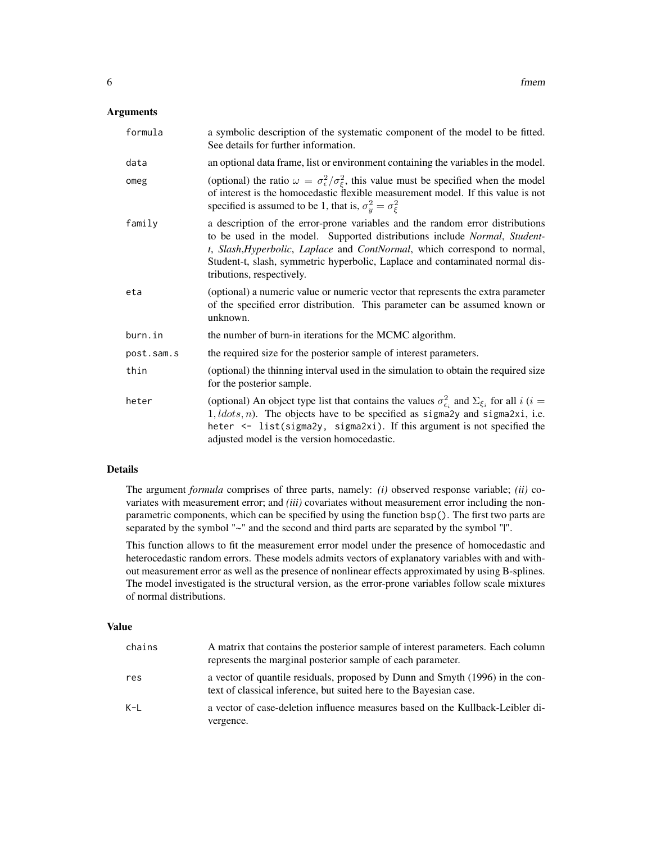#### Arguments

| formula    | a symbolic description of the systematic component of the model to be fitted.<br>See details for further information.                                                                                                                                                                                                                                |
|------------|------------------------------------------------------------------------------------------------------------------------------------------------------------------------------------------------------------------------------------------------------------------------------------------------------------------------------------------------------|
| data       | an optional data frame, list or environment containing the variables in the model.                                                                                                                                                                                                                                                                   |
| omeg       | (optional) the ratio $\omega = \sigma_{\epsilon}^2/\sigma_{\epsilon}^2$ , this value must be specified when the model<br>of interest is the homocedastic flexible measurement model. If this value is not<br>specified is assumed to be 1, that is, $\sigma_y^2 = \sigma_{\xi}^2$                                                                    |
| family     | a description of the error-prone variables and the random error distributions<br>to be used in the model. Supported distributions include Normal, Student-<br>t, Slash, Hyperbolic, Laplace and ContNormal, which correspond to normal,<br>Student-t, slash, symmetric hyperbolic, Laplace and contaminated normal dis-<br>tributions, respectively. |
| eta        | (optional) a numeric value or numeric vector that represents the extra parameter<br>of the specified error distribution. This parameter can be assumed known or<br>unknown.                                                                                                                                                                          |
| burn.in    | the number of burn-in iterations for the MCMC algorithm.                                                                                                                                                                                                                                                                                             |
| post.sam.s | the required size for the posterior sample of interest parameters.                                                                                                                                                                                                                                                                                   |
| thin       | (optional) the thinning interval used in the simulation to obtain the required size<br>for the posterior sample.                                                                                                                                                                                                                                     |
| heter      | (optional) An object type list that contains the values $\sigma_{\epsilon_i}^2$ and $\Sigma_{\xi_i}$ for all $i$ (i =<br>$1, Idots, n$ ). The objects have to be specified as sigmaly and sigmalxi, i.e.<br>heter $\le$ list(sigma2y, sigma2xi). If this argument is not specified the<br>adjusted model is the version homocedastic.                |

#### Details

The argument *formula* comprises of three parts, namely: *(i)* observed response variable; *(ii)* covariates with measurement error; and *(iii)* covariates without measurement error including the nonparametric components, which can be specified by using the function bsp(). The first two parts are separated by the symbol "~" and the second and third parts are separated by the symbol "|".

This function allows to fit the measurement error model under the presence of homocedastic and heterocedastic random errors. These models admits vectors of explanatory variables with and without measurement error as well as the presence of nonlinear effects approximated by using B-splines. The model investigated is the structural version, as the error-prone variables follow scale mixtures of normal distributions.

#### Value

| chains | A matrix that contains the posterior sample of interest parameters. Each column<br>represents the marginal posterior sample of each parameter.      |
|--------|-----------------------------------------------------------------------------------------------------------------------------------------------------|
| res    | a vector of quantile residuals, proposed by Dunn and Smyth (1996) in the con-<br>text of classical inference, but suited here to the Bayesian case. |
| K-L    | a vector of case-deletion influence measures based on the Kullback-Leibler di-<br>vergence.                                                         |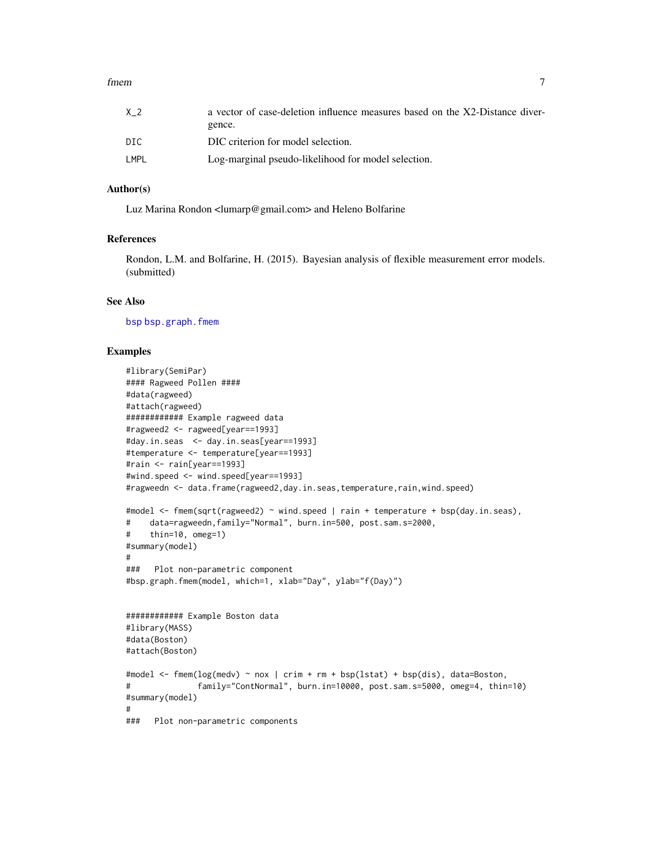#### <span id="page-6-0"></span>fmem 7

#### Author(s)

Luz Marina Rondon <lumarp@gmail.com> and Heleno Bolfarine

#### References

Rondon, L.M. and Bolfarine, H. (2015). Bayesian analysis of flexible measurement error models. (submitted)

#### See Also

[bsp](#page-2-1) [bsp.graph.fmem](#page-3-1)

#### Examples

```
#library(SemiPar)
#### Ragweed Pollen ####
#data(ragweed)
#attach(ragweed)
############ Example ragweed data
#ragweed2 <- ragweed[year==1993]
#day.in.seas <- day.in.seas[year==1993]
#temperature <- temperature[year==1993]
#rain <- rain[year==1993]
#wind.speed <- wind.speed[year==1993]
#ragweedn <- data.frame(ragweed2,day.in.seas,temperature,rain,wind.speed)
#model <- fmem(sqrt(ragweed2) ~ wind.speed | rain + temperature + bsp(day.in.seas),
# data=ragweedn,family="Normal", burn.in=500, post.sam.s=2000,
# thin=10, omeg=1)
#summary(model)
#
### Plot non-parametric component
#bsp.graph.fmem(model, which=1, xlab="Day", ylab="f(Day)")
############ Example Boston data
#library(MASS)
#data(Boston)
#attach(Boston)
#model <- fmem(log(medv) ~ nox | crim + rm + bsp(lstat) + bsp(dis), data=Boston,
# family="ContNormal", burn.in=10000, post.sam.s=5000, omeg=4, thin=10)
#summary(model)
#
### Plot non-parametric components
```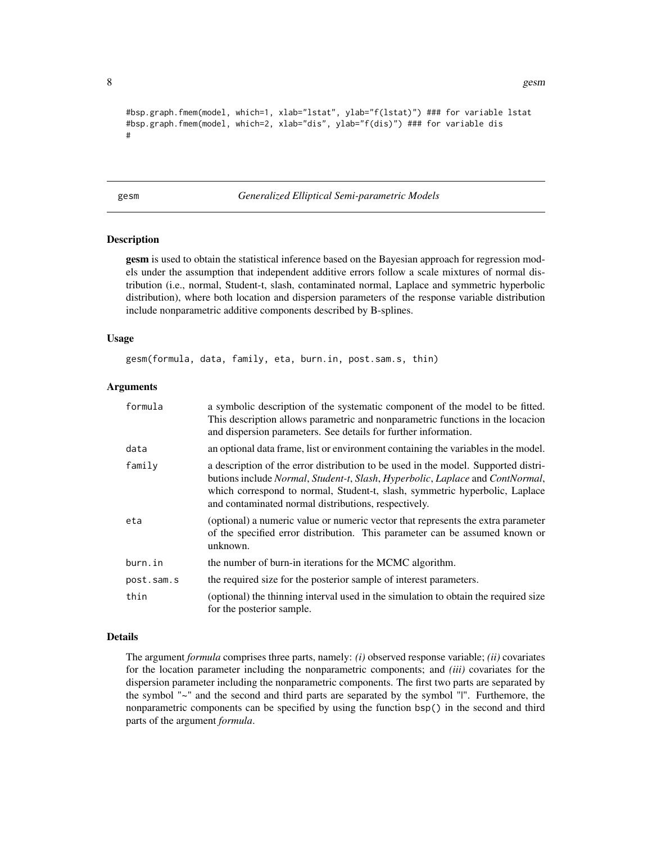```
#bsp.graph.fmem(model, which=1, xlab="lstat", ylab="f(lstat)") ### for variable lstat
#bsp.graph.fmem(model, which=2, xlab="dis", ylab="f(dis)") ### for variable dis
#
```
#### gesm *Generalized Elliptical Semi-parametric Models*

#### Description

gesm is used to obtain the statistical inference based on the Bayesian approach for regression models under the assumption that independent additive errors follow a scale mixtures of normal distribution (i.e., normal, Student-t, slash, contaminated normal, Laplace and symmetric hyperbolic distribution), where both location and dispersion parameters of the response variable distribution include nonparametric additive components described by B-splines.

#### Usage

gesm(formula, data, family, eta, burn.in, post.sam.s, thin)

#### Arguments

| formula    | a symbolic description of the systematic component of the model to be fitted.<br>This description allows parametric and nonparametric functions in the locacion<br>and dispersion parameters. See details for further information.                                                                         |
|------------|------------------------------------------------------------------------------------------------------------------------------------------------------------------------------------------------------------------------------------------------------------------------------------------------------------|
| data       | an optional data frame, list or environment containing the variables in the model.                                                                                                                                                                                                                         |
| family     | a description of the error distribution to be used in the model. Supported distri-<br>butions include Normal, Student-t, Slash, Hyperbolic, Laplace and ContNormal,<br>which correspond to normal, Student-t, slash, symmetric hyperbolic, Laplace<br>and contaminated normal distributions, respectively. |
| eta        | (optional) a numeric value or numeric vector that represents the extra parameter<br>of the specified error distribution. This parameter can be assumed known or<br>unknown.                                                                                                                                |
| burn.in    | the number of burn-in iterations for the MCMC algorithm.                                                                                                                                                                                                                                                   |
| post.sam.s | the required size for the posterior sample of interest parameters.                                                                                                                                                                                                                                         |
| thin       | (optional) the thinning interval used in the simulation to obtain the required size<br>for the posterior sample.                                                                                                                                                                                           |

#### Details

The argument *formula* comprises three parts, namely: *(i)* observed response variable; *(ii)* covariates for the location parameter including the nonparametric components; and *(iii)* covariates for the dispersion parameter including the nonparametric components. The first two parts are separated by the symbol "~" and the second and third parts are separated by the symbol "|". Furthemore, the nonparametric components can be specified by using the function bsp() in the second and third parts of the argument *formula*.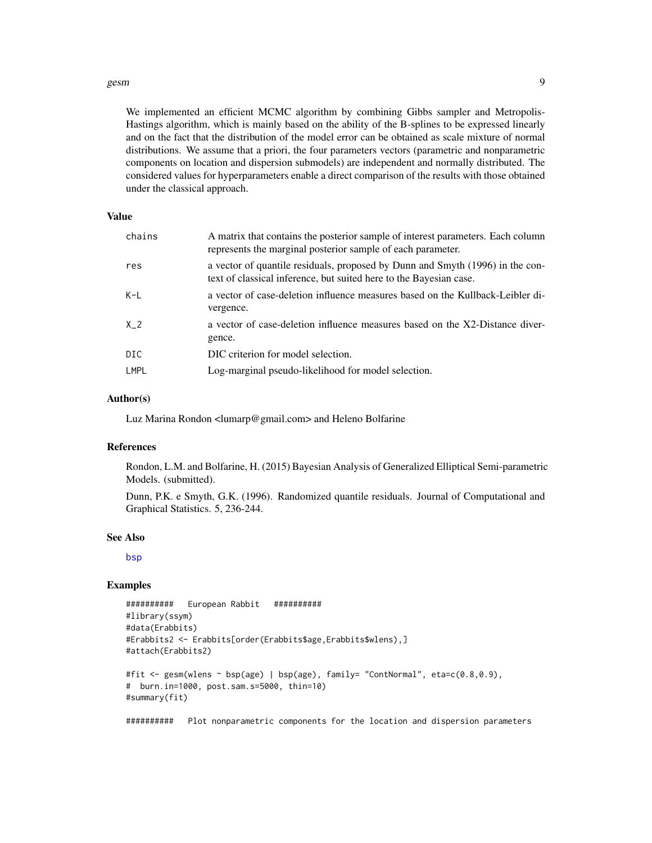#### <span id="page-8-0"></span>gesm and the set of the set of the set of the set of the set of the set of the set of the set of the set of the

We implemented an efficient MCMC algorithm by combining Gibbs sampler and Metropolis-Hastings algorithm, which is mainly based on the ability of the B-splines to be expressed linearly and on the fact that the distribution of the model error can be obtained as scale mixture of normal distributions. We assume that a priori, the four parameters vectors (parametric and nonparametric components on location and dispersion submodels) are independent and normally distributed. The considered values for hyperparameters enable a direct comparison of the results with those obtained under the classical approach.

#### Value

| chains         | A matrix that contains the posterior sample of interest parameters. Each column<br>represents the marginal posterior sample of each parameter.      |
|----------------|-----------------------------------------------------------------------------------------------------------------------------------------------------|
| res            | a vector of quantile residuals, proposed by Dunn and Smyth (1996) in the con-<br>text of classical inference, but suited here to the Bayesian case. |
| $K-L$          | a vector of case-deletion influence measures based on the Kullback-Leibler di-<br>vergence.                                                         |
| X <sub>2</sub> | a vector of case-deletion influence measures based on the X2-Distance diver-<br>gence.                                                              |
| DIC            | DIC criterion for model selection.                                                                                                                  |
| LMPL           | Log-marginal pseudo-likelihood for model selection.                                                                                                 |

#### Author(s)

Luz Marina Rondon <lumarp@gmail.com> and Heleno Bolfarine

#### References

Rondon, L.M. and Bolfarine, H. (2015) Bayesian Analysis of Generalized Elliptical Semi-parametric Models. (submitted).

Dunn, P.K. e Smyth, G.K. (1996). Randomized quantile residuals. Journal of Computational and Graphical Statistics. 5, 236-244.

#### See Also

[bsp](#page-2-1)

#### Examples

```
########## European Rabbit ##########
#library(ssym)
#data(Erabbits)
#Erabbits2 <- Erabbits[order(Erabbits$age,Erabbits$wlens),]
#attach(Erabbits2)
#fit <- gesm(wlens ~ bsp(age) | bsp(age), family= "ContNormal", eta=c(0.8,0.9),
# burn.in=1000, post.sam.s=5000, thin=10)
#summary(fit)
```
########## Plot nonparametric components for the location and dispersion parameters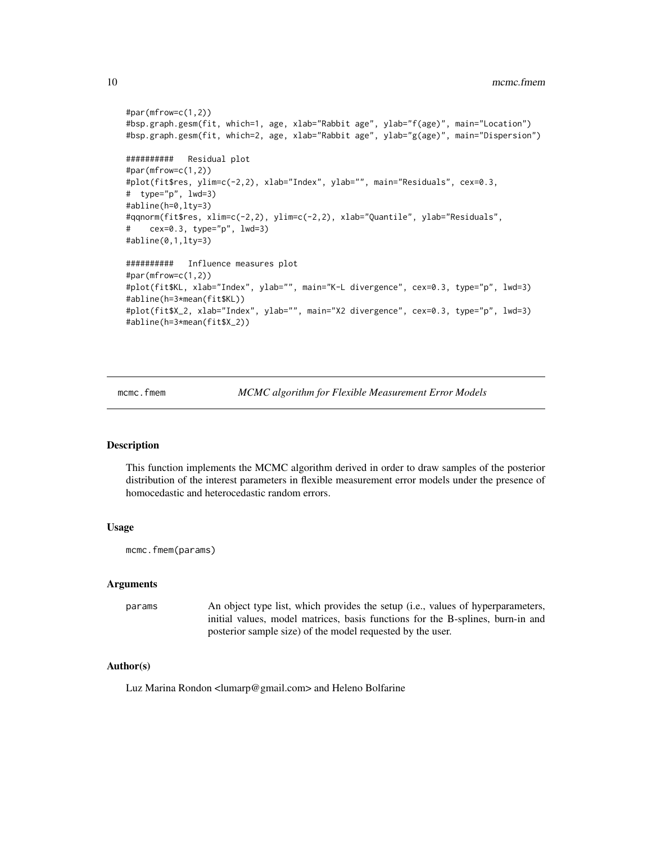```
#par(mfrow=c(1,2))
#bsp.graph.gesm(fit, which=1, age, xlab="Rabbit age", ylab="f(age)", main="Location")
#bsp.graph.gesm(fit, which=2, age, xlab="Rabbit age", ylab="g(age)", main="Dispersion")
########## Residual plot
#par(mfrow=c(1,2))
#plot(fit$res, ylim=c(-2,2), xlab="Index", ylab="", main="Residuals", cex=0.3,
# type="p", lwd=3)
#abline(h=0,lty=3)
#qqnorm(fit$res, xlim=c(-2,2), ylim=c(-2,2), xlab="Quantile", ylab="Residuals",
# cex=0.3, type="p", lwd=3)
#abline(0,1,lty=3)
########## Influence measures plot
#par(mfrow=c(1,2))
#plot(fit$KL, xlab="Index", ylab="", main="K-L divergence", cex=0.3, type="p", lwd=3)
#abline(h=3*mean(fit$KL))
#plot(fit$X_2, xlab="Index", ylab="", main="X2 divergence", cex=0.3, type="p", lwd=3)
#abline(h=3*mean(fit$X_2))
```
mcmc.fmem *MCMC algorithm for Flexible Measurement Error Models*

#### **Description**

This function implements the MCMC algorithm derived in order to draw samples of the posterior distribution of the interest parameters in flexible measurement error models under the presence of homocedastic and heterocedastic random errors.

#### Usage

mcmc.fmem(params)

#### Arguments

params An object type list, which provides the setup (i.e., values of hyperparameters, initial values, model matrices, basis functions for the B-splines, burn-in and posterior sample size) of the model requested by the user.

#### Author(s)

Luz Marina Rondon <lumarp@gmail.com> and Heleno Bolfarine

<span id="page-9-0"></span>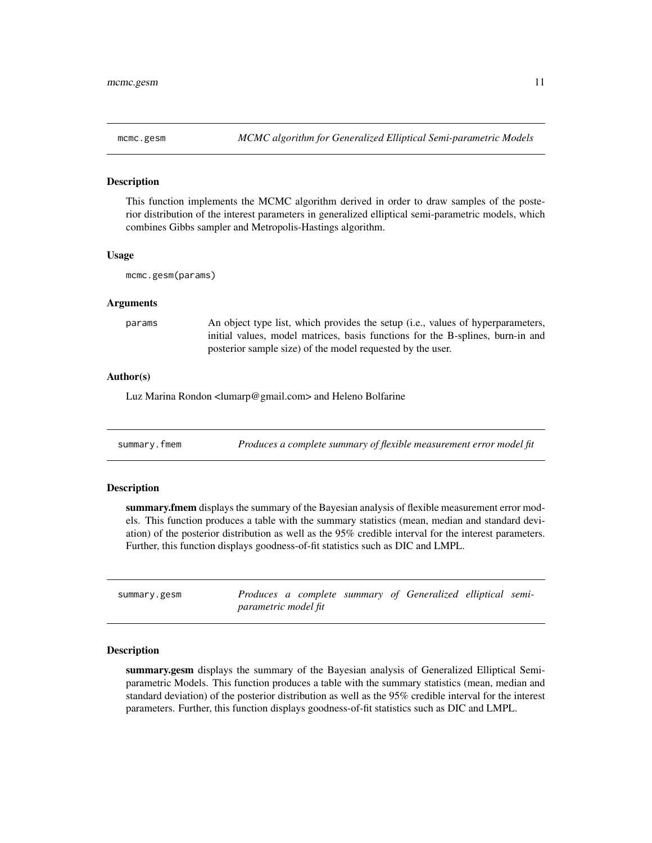<span id="page-10-0"></span>

#### Description

This function implements the MCMC algorithm derived in order to draw samples of the posterior distribution of the interest parameters in generalized elliptical semi-parametric models, which combines Gibbs sampler and Metropolis-Hastings algorithm.

#### Usage

```
mcmc.gesm(params)
```
#### Arguments

params An object type list, which provides the setup (i.e., values of hyperparameters, initial values, model matrices, basis functions for the B-splines, burn-in and posterior sample size) of the model requested by the user.

#### Author(s)

Luz Marina Rondon <lumarp@gmail.com> and Heleno Bolfarine

summary.fmem *Produces a complete summary of flexible measurement error model fit*

#### Description

summary.fmem displays the summary of the Bayesian analysis of flexible measurement error models. This function produces a table with the summary statistics (mean, median and standard deviation) of the posterior distribution as well as the 95% credible interval for the interest parameters. Further, this function displays goodness-of-fit statistics such as DIC and LMPL.

| summary.gesm |                             |  |  |  |  | Produces a complete summary of Generalized elliptical semi- |  |  |  |  |
|--------------|-----------------------------|--|--|--|--|-------------------------------------------------------------|--|--|--|--|
|              | <i>parametric model fit</i> |  |  |  |  |                                                             |  |  |  |  |

#### Description

summary.gesm displays the summary of the Bayesian analysis of Generalized Elliptical Semiparametric Models. This function produces a table with the summary statistics (mean, median and standard deviation) of the posterior distribution as well as the 95% credible interval for the interest parameters. Further, this function displays goodness-of-fit statistics such as DIC and LMPL.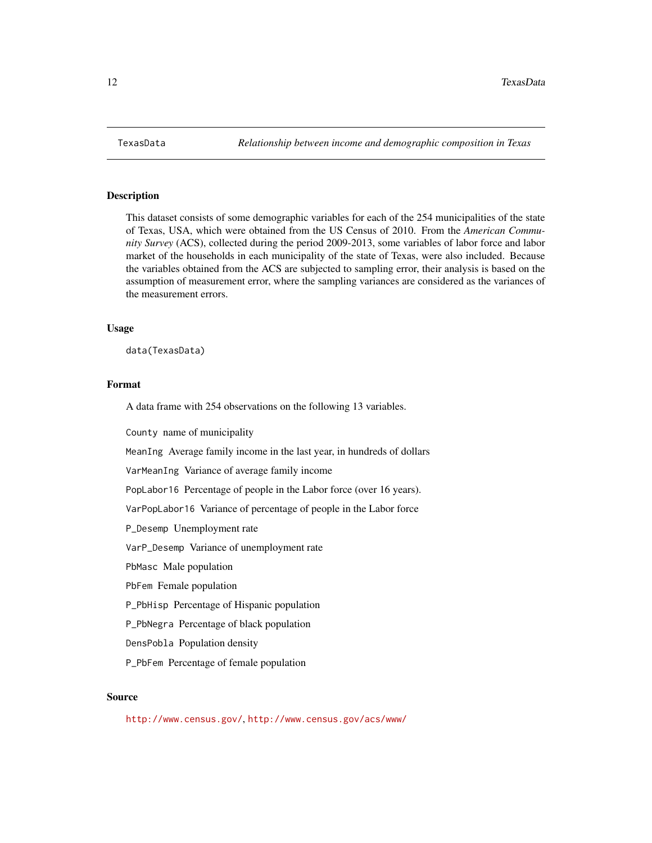#### <span id="page-11-0"></span>Description

This dataset consists of some demographic variables for each of the 254 municipalities of the state of Texas, USA, which were obtained from the US Census of 2010. From the *American Community Survey* (ACS), collected during the period 2009-2013, some variables of labor force and labor market of the households in each municipality of the state of Texas, were also included. Because the variables obtained from the ACS are subjected to sampling error, their analysis is based on the assumption of measurement error, where the sampling variances are considered as the variances of the measurement errors.

#### Usage

data(TexasData)

#### Format

A data frame with 254 observations on the following 13 variables.

County name of municipality

MeanIng Average family income in the last year, in hundreds of dollars

VarMeanIng Variance of average family income

PopLabor16 Percentage of people in the Labor force (over 16 years).

VarPopLabor16 Variance of percentage of people in the Labor force

P\_Desemp Unemployment rate

VarP\_Desemp Variance of unemployment rate

PbMasc Male population

PbFem Female population

P\_PbHisp Percentage of Hispanic population

P\_PbNegra Percentage of black population

DensPobla Population density

P\_PbFem Percentage of female population

#### Source

<http://www.census.gov/>, <http://www.census.gov/acs/www/>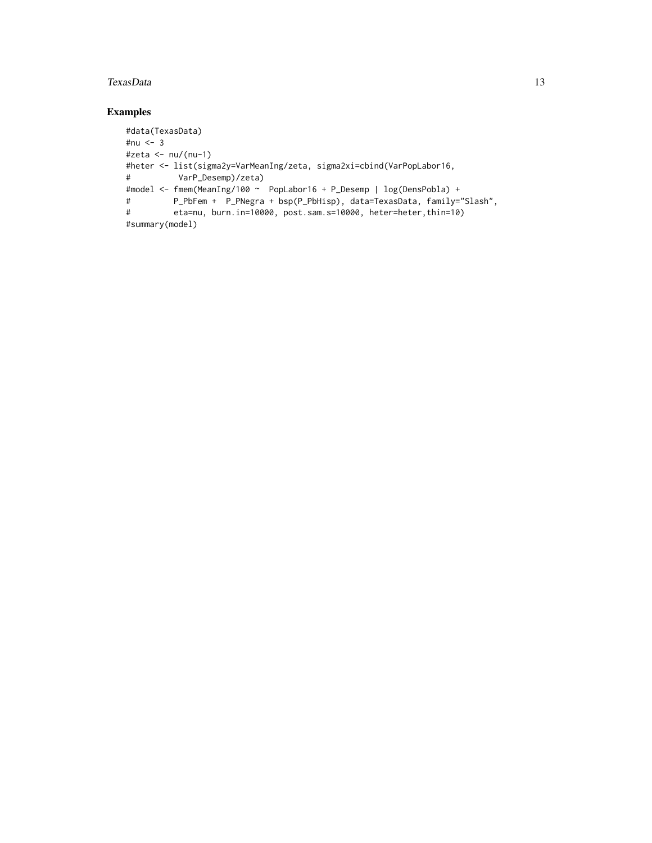#### TexasData 13

#### Examples

```
#data(TexasData)
#nu <- 3
#zeta <- nu/(nu-1)
#heter <- list(sigma2y=VarMeanIng/zeta, sigma2xi=cbind(VarPopLabor16,
# VarP_Desemp)/zeta)
#model <- fmem(MeanIng/100 ~ PopLabor16 + P_Desemp | log(DensPobla) +
# P_PbFem + P_PNegra + bsp(P_PbHisp), data=TexasData, family="Slash",
# eta=nu, burn.in=10000, post.sam.s=10000, heter=heter,thin=10)
#summary(model)
```